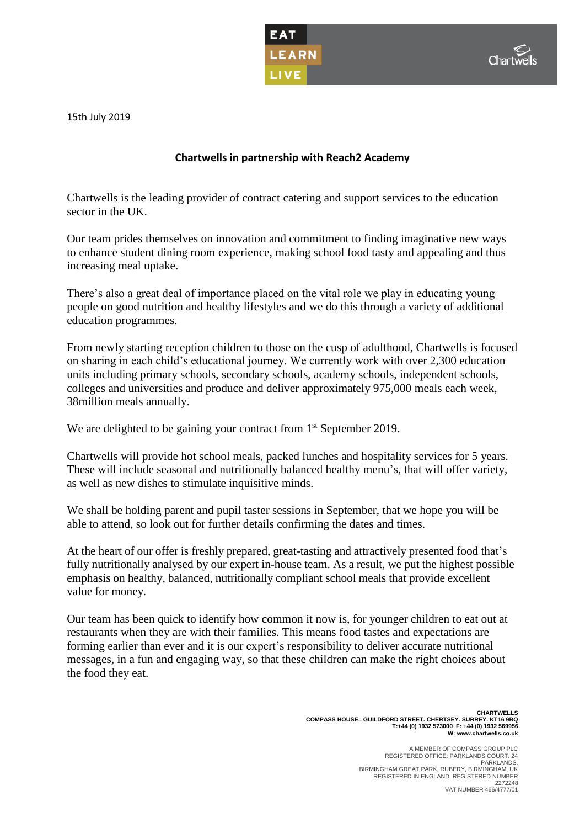



15th July 2019

## **Chartwells in partnership with Reach2 Academy**

Chartwells is the leading provider of contract catering and support services to the education sector in the UK.

Our team prides themselves on innovation and commitment to finding imaginative new ways to enhance student dining room experience, making school food tasty and appealing and thus increasing meal uptake.

There's also a great deal of importance placed on the vital role we play in educating young people on good nutrition and healthy lifestyles and we do this through a variety of additional education programmes.

From newly starting reception children to those on the cusp of adulthood, Chartwells is focused on sharing in each child's educational journey. We currently work with over 2,300 education units including primary schools, secondary schools, academy schools, independent schools, colleges and universities and produce and deliver approximately 975,000 meals each week, 38million meals annually.

We are delighted to be gaining your contract from 1<sup>st</sup> September 2019.

Chartwells will provide hot school meals, packed lunches and hospitality services for 5 years. These will include seasonal and nutritionally balanced healthy menu's, that will offer variety, as well as new dishes to stimulate inquisitive minds.

We shall be holding parent and pupil taster sessions in September, that we hope you will be able to attend, so look out for further details confirming the dates and times.

At the heart of our offer is freshly prepared, great-tasting and attractively presented food that's fully nutritionally analysed by our expert in-house team. As a result, we put the highest possible emphasis on healthy, balanced, nutritionally compliant school meals that provide excellent value for money.

Our team has been quick to identify how common it now is, for younger children to eat out at restaurants when they are with their families. This means food tastes and expectations are forming earlier than ever and it is our expert's responsibility to deliver accurate nutritional messages, in a fun and engaging way, so that these children can make the right choices about the food they eat.

> **CHARTWELLS COMPASS HOUSE.. GUILDFORD STREET. CHERTSEY. SURREY. KT16 9BQ T:+44 (0) 1932 573000 F: +44 (0) 1932 569956 W[: www.chartwells.co.uk](http://www.chartwells.co.uk/)**

 A MEMBER OF COMPASS GROUP PLC REGISTERED OFFICE: PARKLANDS COURT. 24 PARKLANDS, PARKLANDS,<br>BIRMINGHAM GREAT PARK, RUBERY, BIRMINGHAM, UK REGISTERED IN ENGLAND, REGISTERED NUMBER 2272248 VAT NUMBER 466/4777/01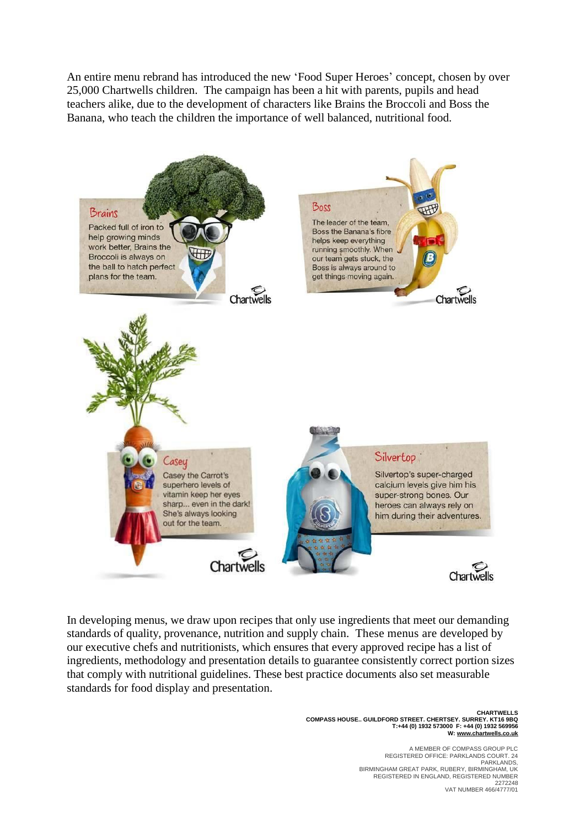An entire menu rebrand has introduced the new 'Food Super Heroes' concept, chosen by over 25,000 Chartwells children. The campaign has been a hit with parents, pupils and head teachers alike, due to the development of characters like Brains the Broccoli and Boss the Banana, who teach the children the importance of well balanced, nutritional food.



In developing menus, we draw upon recipes that only use ingredients that meet our demanding standards of quality, provenance, nutrition and supply chain. These menus are developed by our executive chefs and nutritionists, which ensures that every approved recipe has a list of ingredients, methodology and presentation details to guarantee consistently correct portion sizes that comply with nutritional guidelines. These best practice documents also set measurable standards for food display and presentation.

> **CHARTWELLS COMPASS HOUSE.. GUILDFORD STREET. CHERTSEY. SURREY. KT16 9BQ T:+44 (0) 1932 573000 F: +44 (0) 1932 569956 W[: www.chartwells.co.uk](http://www.chartwells.co.uk/)**

A MEMBER OF COMPASS GROUP PLC<br>REGISTERED OFFICE: PARKLANDS COURT. 24<br>PARKLANDS, PARKLANDS,<br>BIRMINGHAM GREAT PARK, RUBERY, BIRMINGHAM, UK REGISTERED IN ENGLAND, REGISTERED NUMBER 2272248 VAT NUMBER 466/4777/01